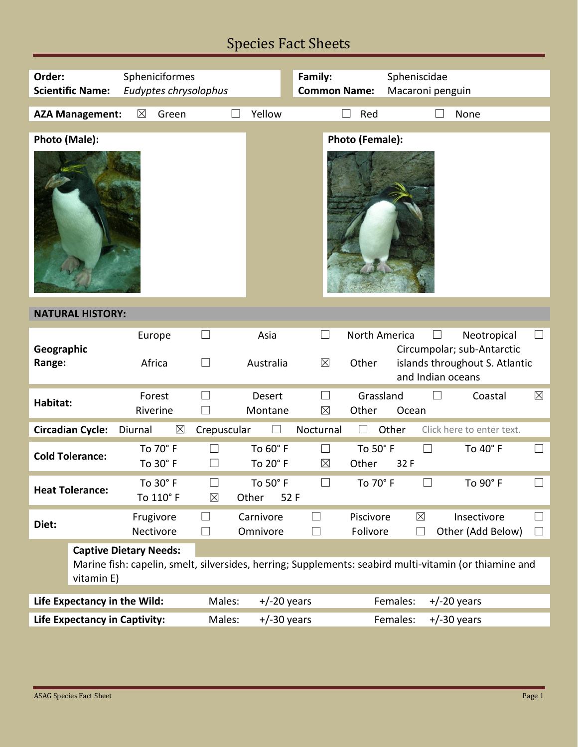## Species Fact Sheets

| Order:                                                                                                                                                | Spheniciformes<br><b>Scientific Name:</b><br>Eudyptes chrysolophus |                        |                             |                         |                                  | <b>Common Name:</b>    | Spheniscidae<br>Macaroni penguin |                                                                             |                  |
|-------------------------------------------------------------------------------------------------------------------------------------------------------|--------------------------------------------------------------------|------------------------|-----------------------------|-------------------------|----------------------------------|------------------------|----------------------------------|-----------------------------------------------------------------------------|------------------|
|                                                                                                                                                       | <b>AZA Management:</b>                                             | $\boxtimes$<br>Green   |                             | Yellow                  |                                  | Red                    |                                  | None                                                                        |                  |
| Photo (Male):                                                                                                                                         |                                                                    |                        |                             |                         |                                  | Photo (Female):        |                                  |                                                                             |                  |
| <b>NATURAL HISTORY:</b>                                                                                                                               |                                                                    |                        |                             |                         |                                  |                        |                                  |                                                                             |                  |
| Geographic<br>Range:                                                                                                                                  |                                                                    | Europe<br>Africa       | ⊔<br>$\Box$                 | Asia<br>Australia       | $\Box$<br>$\boxtimes$            | North America<br>Other | ⊔<br>and Indian oceans           | Neotropical<br>Circumpolar; sub-Antarctic<br>islands throughout S. Atlantic | $\Box$           |
| Habitat:                                                                                                                                              |                                                                    | Forest<br>Riverine     | $\vert \ \ \vert$<br>$\Box$ | Desert<br>Montane       | $\vert \ \ \vert$<br>$\boxtimes$ | Grassland<br>Other     | Ocean                            | Coastal                                                                     | $\boxtimes$      |
|                                                                                                                                                       | <b>Circadian Cycle:</b>                                            | Diurnal                | $\boxtimes$<br>Crepuscular  |                         | Nocturnal                        |                        | Other                            | Click here to enter text.                                                   |                  |
| <b>Cold Tolerance:</b>                                                                                                                                |                                                                    | To 70° F<br>To 30° F   | $\Box$<br>$\vert \ \ \vert$ | To 60° F<br>To 20° F    | $\Box$<br>$\boxtimes$            | To 50° F<br>Other      | $\Box$<br>32 F                   | To 40° F                                                                    | $\Box$           |
| <b>Heat Tolerance:</b>                                                                                                                                |                                                                    | To 30° F<br>To 110° F  | $\Box$<br>$\boxtimes$       | To 50° F<br>Other       | $\Box$<br>52 F                   | To 70° F               | $\vert \ \ \vert$                | To 90° F                                                                    | $\Box$           |
| Diet:                                                                                                                                                 |                                                                    | Frugivore<br>Nectivore | $\Box$<br>$\Box$            | Carnivore<br>Omnivore   | ⊔<br>$\Box$                      | Piscivore<br>Folivore  | $\boxtimes$<br>$\Box$            | Insectivore<br>Other (Add Below)                                            | $\Box$<br>$\Box$ |
| <b>Captive Dietary Needs:</b><br>Marine fish: capelin, smelt, silversides, herring; Supplements: seabird multi-vitamin (or thiamine and<br>vitamin E) |                                                                    |                        |                             |                         |                                  |                        |                                  |                                                                             |                  |
| Life Expectancy in the Wild:                                                                                                                          |                                                                    |                        | Males:                      | $+/-20$ years           |                                  |                        | Females:                         | $+/-20$ years                                                               |                  |
| <b>Life Expectancy in Captivity:</b>                                                                                                                  |                                                                    |                        |                             | Males:<br>$+/-30$ years |                                  |                        | Females:                         | $+/-30$ years                                                               |                  |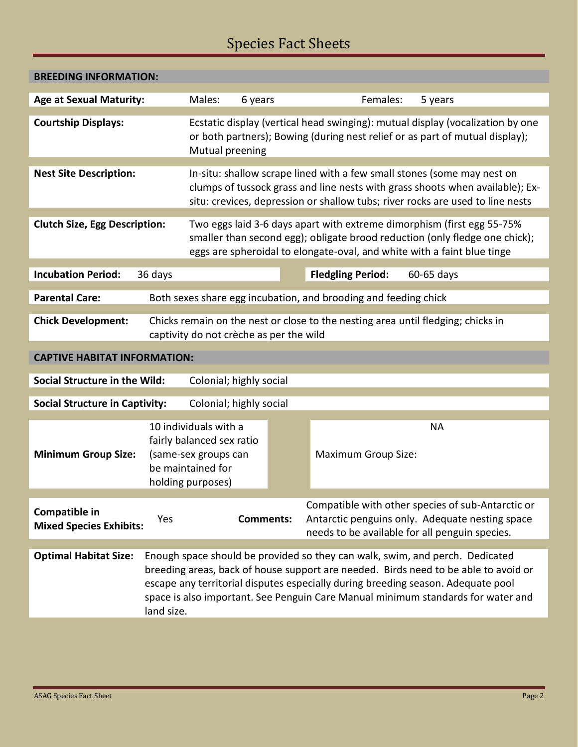## Species Fact Sheets

| <b>BREEDING INFORMATION:</b>                                     |                                                                                                                                                                                                                                  |                                         |                  |                                                                                  |                                                                                                                                                                                                                                                                                                                                             |  |
|------------------------------------------------------------------|----------------------------------------------------------------------------------------------------------------------------------------------------------------------------------------------------------------------------------|-----------------------------------------|------------------|----------------------------------------------------------------------------------|---------------------------------------------------------------------------------------------------------------------------------------------------------------------------------------------------------------------------------------------------------------------------------------------------------------------------------------------|--|
| <b>Age at Sexual Maturity:</b>                                   | Males:<br>6 years                                                                                                                                                                                                                |                                         | Females:         | 5 years                                                                          |                                                                                                                                                                                                                                                                                                                                             |  |
| <b>Courtship Displays:</b>                                       | Ecstatic display (vertical head swinging): mutual display (vocalization by one<br>or both partners); Bowing (during nest relief or as part of mutual display);<br>Mutual preening                                                |                                         |                  |                                                                                  |                                                                                                                                                                                                                                                                                                                                             |  |
| <b>Nest Site Description:</b>                                    | In-situ: shallow scrape lined with a few small stones (some may nest on                                                                                                                                                          |                                         |                  |                                                                                  |                                                                                                                                                                                                                                                                                                                                             |  |
|                                                                  | clumps of tussock grass and line nests with grass shoots when available); Ex-<br>situ: crevices, depression or shallow tubs; river rocks are used to line nests                                                                  |                                         |                  |                                                                                  |                                                                                                                                                                                                                                                                                                                                             |  |
| <b>Clutch Size, Egg Description:</b>                             | Two eggs laid 3-6 days apart with extreme dimorphism (first egg 55-75%<br>smaller than second egg); obligate brood reduction (only fledge one chick);<br>eggs are spheroidal to elongate-oval, and white with a faint blue tinge |                                         |                  |                                                                                  |                                                                                                                                                                                                                                                                                                                                             |  |
| <b>Incubation Period:</b>                                        | 36 days                                                                                                                                                                                                                          |                                         |                  | <b>Fledgling Period:</b>                                                         | 60-65 days                                                                                                                                                                                                                                                                                                                                  |  |
| <b>Parental Care:</b>                                            |                                                                                                                                                                                                                                  |                                         |                  | Both sexes share egg incubation, and brooding and feeding chick                  |                                                                                                                                                                                                                                                                                                                                             |  |
| <b>Chick Development:</b>                                        |                                                                                                                                                                                                                                  | captivity do not crèche as per the wild |                  | Chicks remain on the nest or close to the nesting area until fledging; chicks in |                                                                                                                                                                                                                                                                                                                                             |  |
| <b>CAPTIVE HABITAT INFORMATION:</b>                              |                                                                                                                                                                                                                                  |                                         |                  |                                                                                  |                                                                                                                                                                                                                                                                                                                                             |  |
| <b>Social Structure in the Wild:</b><br>Colonial; highly social  |                                                                                                                                                                                                                                  |                                         |                  |                                                                                  |                                                                                                                                                                                                                                                                                                                                             |  |
| <b>Social Structure in Captivity:</b><br>Colonial; highly social |                                                                                                                                                                                                                                  |                                         |                  |                                                                                  |                                                                                                                                                                                                                                                                                                                                             |  |
| <b>Minimum Group Size:</b>                                       | 10 individuals with a<br>fairly balanced sex ratio<br>(same-sex groups can<br>be maintained for<br>holding purposes)                                                                                                             |                                         |                  | <b>Maximum Group Size:</b>                                                       | <b>NA</b>                                                                                                                                                                                                                                                                                                                                   |  |
| Compatible in<br><b>Mixed Species Exhibits:</b>                  | Yes                                                                                                                                                                                                                              |                                         | <b>Comments:</b> |                                                                                  | Compatible with other species of sub-Antarctic or<br>Antarctic penguins only. Adequate nesting space<br>needs to be available for all penguin species.                                                                                                                                                                                      |  |
| <b>Optimal Habitat Size:</b>                                     | land size.                                                                                                                                                                                                                       |                                         |                  |                                                                                  | Enough space should be provided so they can walk, swim, and perch. Dedicated<br>breeding areas, back of house support are needed. Birds need to be able to avoid or<br>escape any territorial disputes especially during breeding season. Adequate pool<br>space is also important. See Penguin Care Manual minimum standards for water and |  |